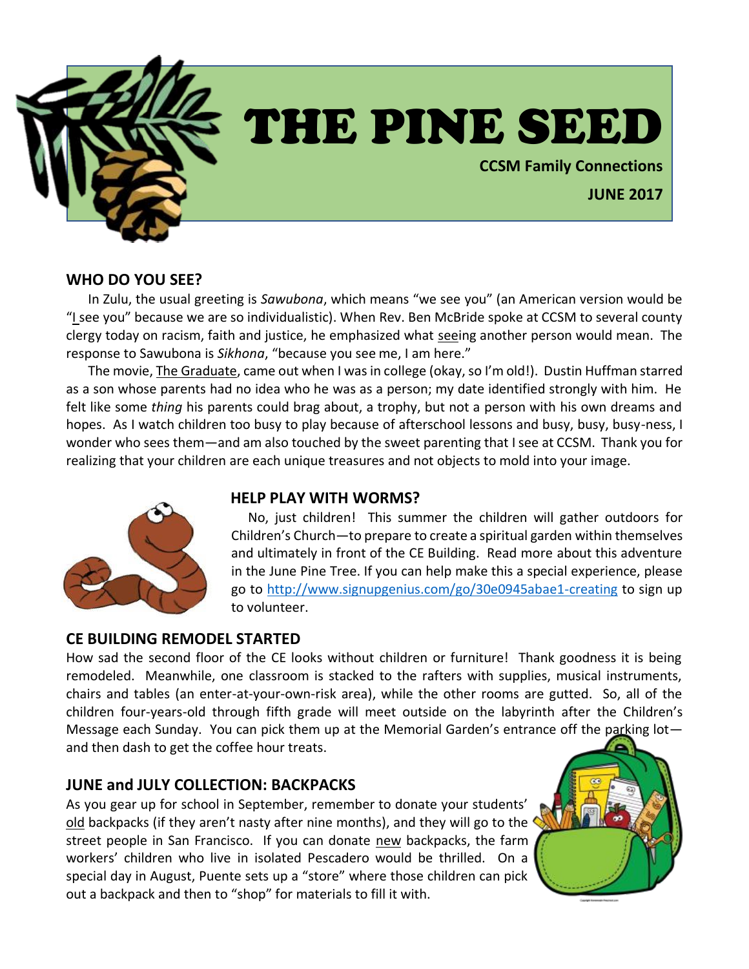

# THE PINE SEED

**CCSM Family Connections**

**JUNE 2017**

#### **WHO DO YOU SEE?**

In Zulu, the usual greeting is *Sawubona*, which means "we see you" (an American version would be "I see you" because we are so individualistic). When Rev. Ben McBride spoke at CCSM to several county clergy today on racism, faith and justice, he emphasized what seeing another person would mean. The response to Sawubona is *Sikhona*, "because you see me, I am here."

The movie, The Graduate, came out when I was in college (okay, so I'm old!). Dustin Huffman starred as a son whose parents had no idea who he was as a person; my date identified strongly with him. He felt like some *thing* his parents could brag about, a trophy, but not a person with his own dreams and hopes. As I watch children too busy to play because of afterschool lessons and busy, busy, busy-ness, I wonder who sees them—and am also touched by the sweet parenting that I see at CCSM. Thank you for realizing that your children are each unique treasures and not objects to mold into your image.

## **HELP PLAY WITH WORMS?**



### **CE BUILDING REMODEL STARTED**

How sad the second floor of the CE looks without children or furniture! Thank goodness it is being remodeled. Meanwhile, one classroom is stacked to the rafters with supplies, musical instruments, chairs and tables (an enter-at-your-own-risk area), while the other rooms are gutted. So, all of the children four-years-old through fifth grade will meet outside on the labyrinth after the Children's Message each Sunday. You can pick them up at the Memorial Garden's entrance off the parking lot and then dash to get the coffee hour treats.

## **JUNE and JULY COLLECTION: BACKPACKS**

As you gear up for school in September, remember to donate your students' old backpacks (if they aren't nasty after nine months), and they will go to the street people in San Francisco. If you can donate new backpacks, the farm workers' children who live in isolated Pescadero would be thrilled. On a special day in August, Puente sets up a "store" where those children can pick out a backpack and then to "shop" for materials to fill it with.